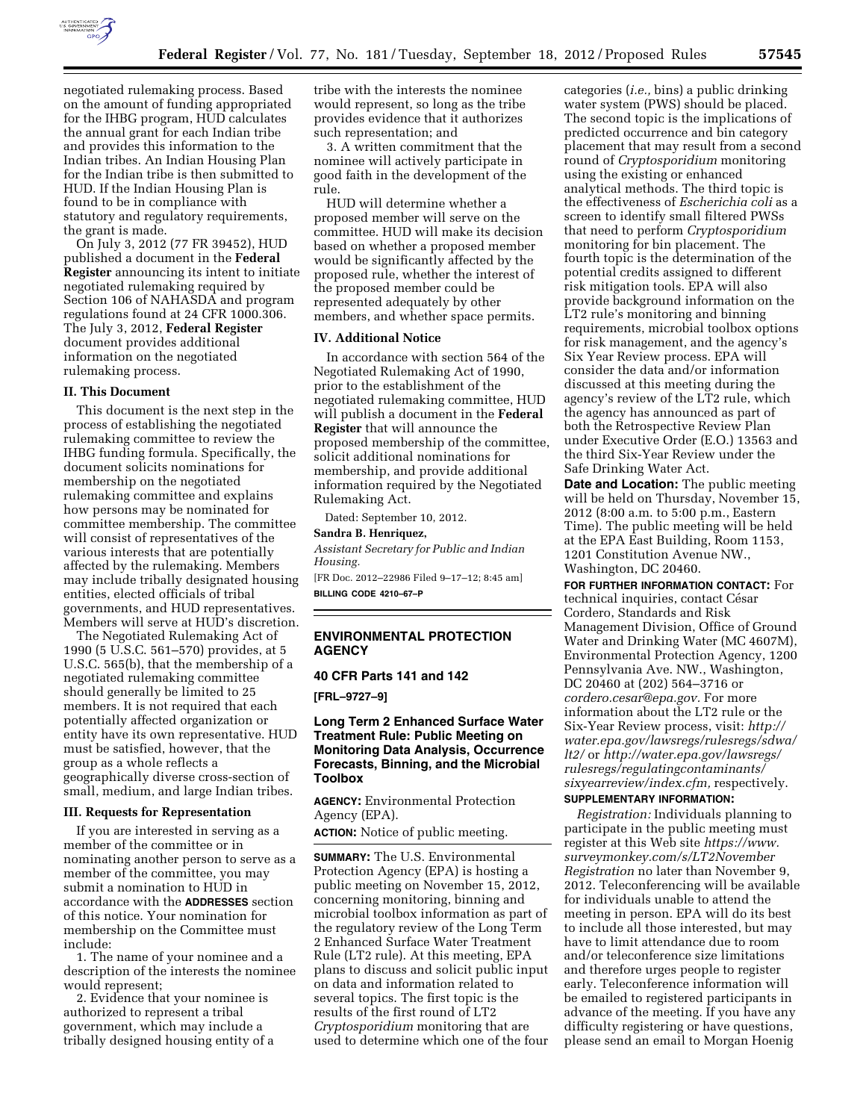

negotiated rulemaking process. Based on the amount of funding appropriated for the IHBG program, HUD calculates the annual grant for each Indian tribe and provides this information to the Indian tribes. An Indian Housing Plan for the Indian tribe is then submitted to HUD. If the Indian Housing Plan is found to be in compliance with statutory and regulatory requirements, the grant is made.

On July 3, 2012 (77 FR 39452), HUD published a document in the **Federal Register** announcing its intent to initiate negotiated rulemaking required by Section 106 of NAHASDA and program regulations found at 24 CFR 1000.306. The July 3, 2012, **Federal Register**  document provides additional information on the negotiated rulemaking process.

#### **II. This Document**

This document is the next step in the process of establishing the negotiated rulemaking committee to review the IHBG funding formula. Specifically, the document solicits nominations for membership on the negotiated rulemaking committee and explains how persons may be nominated for committee membership. The committee will consist of representatives of the various interests that are potentially affected by the rulemaking. Members may include tribally designated housing entities, elected officials of tribal governments, and HUD representatives. Members will serve at HUD's discretion.

The Negotiated Rulemaking Act of 1990 (5 U.S.C. 561–570) provides, at 5 U.S.C. 565(b), that the membership of a negotiated rulemaking committee should generally be limited to 25 members. It is not required that each potentially affected organization or entity have its own representative. HUD must be satisfied, however, that the group as a whole reflects a geographically diverse cross-section of small, medium, and large Indian tribes.

#### **III. Requests for Representation**

If you are interested in serving as a member of the committee or in nominating another person to serve as a member of the committee, you may submit a nomination to HUD in accordance with the **ADDRESSES** section of this notice. Your nomination for membership on the Committee must include:

1. The name of your nominee and a description of the interests the nominee would represent;

2. Evidence that your nominee is authorized to represent a tribal government, which may include a tribally designed housing entity of a tribe with the interests the nominee would represent, so long as the tribe provides evidence that it authorizes such representation; and

3. A written commitment that the nominee will actively participate in good faith in the development of the rule.

HUD will determine whether a proposed member will serve on the committee. HUD will make its decision based on whether a proposed member would be significantly affected by the proposed rule, whether the interest of the proposed member could be represented adequately by other members, and whether space permits.

#### **IV. Additional Notice**

In accordance with section 564 of the Negotiated Rulemaking Act of 1990, prior to the establishment of the negotiated rulemaking committee, HUD will publish a document in the **Federal Register** that will announce the proposed membership of the committee, solicit additional nominations for membership, and provide additional information required by the Negotiated Rulemaking Act.

Dated: September 10, 2012.

**Sandra B. Henriquez,** 

*Assistant Secretary for Public and Indian Housing.* 

[FR Doc. 2012–22986 Filed 9–17–12; 8:45 am] **BILLING CODE 4210–67–P** 

# **ENVIRONMENTAL PROTECTION AGENCY**

## **40 CFR Parts 141 and 142**

**[FRL–9727–9]** 

**Long Term 2 Enhanced Surface Water Treatment Rule: Public Meeting on Monitoring Data Analysis, Occurrence Forecasts, Binning, and the Microbial Toolbox** 

**AGENCY:** Environmental Protection Agency (EPA).

**ACTION:** Notice of public meeting.

**SUMMARY:** The U.S. Environmental Protection Agency (EPA) is hosting a public meeting on November 15, 2012, concerning monitoring, binning and microbial toolbox information as part of the regulatory review of the Long Term 2 Enhanced Surface Water Treatment Rule (LT2 rule). At this meeting, EPA plans to discuss and solicit public input on data and information related to several topics. The first topic is the results of the first round of LT2 *Cryptosporidium* monitoring that are used to determine which one of the four

categories (*i.e.,* bins) a public drinking water system (PWS) should be placed. The second topic is the implications of predicted occurrence and bin category placement that may result from a second round of *Cryptosporidium* monitoring using the existing or enhanced analytical methods. The third topic is the effectiveness of *Escherichia coli* as a screen to identify small filtered PWSs that need to perform *Cryptosporidium*  monitoring for bin placement. The fourth topic is the determination of the potential credits assigned to different risk mitigation tools. EPA will also provide background information on the LT2 rule's monitoring and binning requirements, microbial toolbox options for risk management, and the agency's Six Year Review process. EPA will consider the data and/or information discussed at this meeting during the agency's review of the LT2 rule, which the agency has announced as part of both the Retrospective Review Plan under Executive Order (E.O.) 13563 and the third Six-Year Review under the Safe Drinking Water Act.

**Date and Location:** The public meeting will be held on Thursday, November 15, 2012 (8:00 a.m. to 5:00 p.m., Eastern Time). The public meeting will be held at the EPA East Building, Room 1153, 1201 Constitution Avenue NW., Washington, DC 20460.

**FOR FURTHER INFORMATION CONTACT:** For technical inquiries, contact César Cordero, Standards and Risk Management Division, Office of Ground Water and Drinking Water (MC 4607M), Environmental Protection Agency, 1200 Pennsylvania Ave. NW., Washington, DC 20460 at (202) 564–3716 or *[cordero.cesar@epa.gov.](mailto:cordero.cesar@epa.gov)* For more information about the LT2 rule or the Six-Year Review process, visit: *[http://](http://water.epa.gov/lawsregs/rulesregs/sdwa/lt2/) [water.epa.gov/lawsregs/rulesregs/sdwa/](http://water.epa.gov/lawsregs/rulesregs/sdwa/lt2/) [lt2/](http://water.epa.gov/lawsregs/rulesregs/sdwa/lt2/)* or *[http://water.epa.gov/lawsregs/](http://water.epa.gov/lawsregs/rulesregs/regulatingcontaminants/sixyearreview/index.cfm) [rulesregs/regulatingcontaminants/](http://water.epa.gov/lawsregs/rulesregs/regulatingcontaminants/sixyearreview/index.cfm) [sixyearreview/index.cfm,](http://water.epa.gov/lawsregs/rulesregs/regulatingcontaminants/sixyearreview/index.cfm)* respectively.

# **SUPPLEMENTARY INFORMATION:**

*Registration:* Individuals planning to participate in the public meeting must register at this Web site *[https://www.](https://www.surveymonkey.com/s/LT2NovemberRegistration) [surveymonkey.com/s/LT2November](https://www.surveymonkey.com/s/LT2NovemberRegistration) [Registration](https://www.surveymonkey.com/s/LT2NovemberRegistration)* no later than November 9, 2012. Teleconferencing will be available for individuals unable to attend the meeting in person. EPA will do its best to include all those interested, but may have to limit attendance due to room and/or teleconference size limitations and therefore urges people to register early. Teleconference information will be emailed to registered participants in advance of the meeting. If you have any difficulty registering or have questions, please send an email to Morgan Hoenig